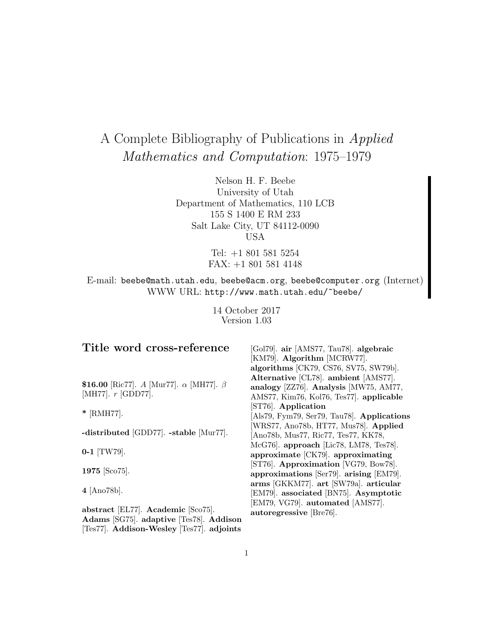# A Complete Bibliography of Publications in Applied Mathematics and Computation: 1975–1979

Nelson H. F. Beebe University of Utah Department of Mathematics, 110 LCB 155 S 1400 E RM 233 Salt Lake City, UT 84112-0090 USA

> Tel: +1 801 581 5254 FAX: +1 801 581 4148

E-mail: beebe@math.utah.edu, beebe@acm.org, beebe@computer.org (Internet) WWW URL: http://www.math.utah.edu/~beebe/

> 14 October 2017 Version 1.03

# **Title word cross-reference**

**\$16.00** [Ric77]. A [Mur77]. α [MH77]. β [MH77]. r [GDD77].

**\*** [RMH77].

**-distributed** [GDD77]. **-stable** [Mur77].

**0-1** [TW79].

**1975** [Sco75].

**4** [Ano78b].

**abstract** [EL77]. **Academic** [Sco75]. **Adams** [SG75]. **adaptive** [Tes78]. **Addison** [Tes77]. **Addison-Wesley** [Tes77]. **adjoints**

[Gol79]. **air** [AMS77, Tau78]. **algebraic** [KM79]. **Algorithm** [MCRW77]. **algorithms** [CK79, CS76, SV75, SW79b]. **Alternative** [CL78]. **ambient** [AMS77]. **analogy** [ZZ76]. **Analysis** [MW75, AM77, AMS77, Kim76, Kol76, Tes77]. **applicable** [ST76]. **Application** [Als79, Fym79, Ser79, Tau78]. **Applications** [WRS77, Ano78b, HT77, Mus78]. **Applied** [Ano78b, Mus77, Ric77, Tes77, KK78, McG76]. **approach** [Lic78, LM78, Tes78]. **approximate** [CK79]. **approximating** [ST76]. **Approximation** [VG79, Bow78]. **approximations** [Ser79]. **arising** [EM79]. **arms** [GKKM77]. **art** [SW79a]. **articular** [EM79]. **associated** [BN75]. **Asymptotic** [EM79, VG79]. **automated** [AMS77]. **autoregressive** [Bre76].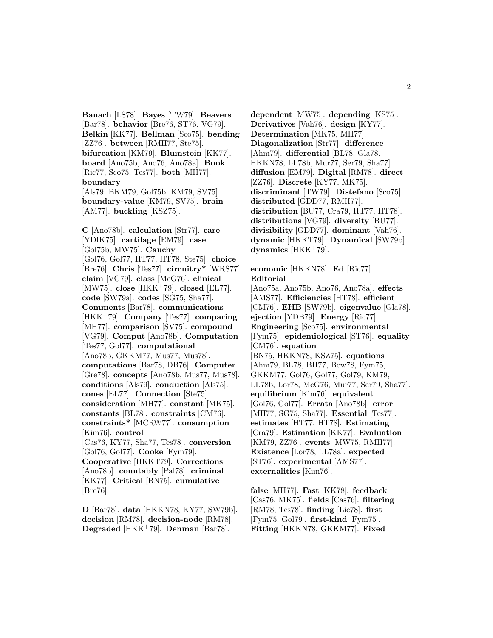2

**Banach** [LS78]. **Bayes** [TW79]. **Beavers** [Bar78]. **behavior** [Bre76, ST76, VG79]. **Belkin** [KK77]. **Bellman** [Sco75]. **bending** [ZZ76]. **between** [RMH77, Ste75]. **bifurcation** [KM79]. **Blumstein** [KK77]. **board** [Ano75b, Ano76, Ano78a]. **Book** [Ric77, Sco75, Tes77]. **both** [MH77]. **boundary** [Als79, BKM79, Gol75b, KM79, SV75]. **boundary-value** [KM79, SV75]. **brain** [AM77]. **buckling** [KSZ75].

**C** [Ano78b]. **calculation** [Str77]. **care** [YDIK75]. **cartilage** [EM79]. **case** [Gol75b, MW75]. **Cauchy** [Gol76, Gol77, HT77, HT78, Ste75]. **choice** [Bre76]. **Chris** [Tes77]. **circuitry\*** [WRS77]. **claim** [VG79]. **class** [McG76]. **clinical** [MW75]. **close** [HKK<sup>+</sup>79]. **closed** [EL77]. **code** [SW79a]. **codes** [SG75, Sha77]. **Comments** [Bar78]. **communications** [HKK<sup>+</sup>79]. **Company** [Tes77]. **comparing** [MH77]. **comparison** [SV75]. **compound** [VG79]. **Comput** [Ano78b]. **Computation** [Tes77, Gol77]. **computational** [Ano78b, GKKM77, Mus77, Mus78]. **computations** [Bar78, DB76]. **Computer** [Gre78]. **concepts** [Ano78b, Mus77, Mus78]. **conditions** [Als79]. **conduction** [Als75]. **cones** [EL77]. **Connection** [Ste75]. **consideration** [MH77]. **constant** [MK75]. **constants** [BL78]. **constraints** [CM76]. **constraints\*** [MCRW77]. **consumption** [Kim76]. **control** [Cas76, KY77, Sha77, Tes78]. **conversion** [Gol76, Gol77]. **Cooke** [Fym79]. **Cooperative** [HKKT79]. **Corrections** [Ano78b]. **countably** [Pal78]. **criminal** [KK77]. **Critical** [BN75]. **cumulative** [Bre76].

**D** [Bar78]. **data** [HKKN78, KY77, SW79b]. **decision** [RM78]. **decision-node** [RM78]. **Degraded** [HKK<sup>+</sup>79]. **Denman** [Bar78].

**dependent** [MW75]. **depending** [KS75]. **Derivatives** [Vah76]. **design** [KY77]. **Determination** [MK75, MH77]. **Diagonalization** [Str77]. **difference** [Ahm79]. **differential** [BL78, Gla78, HKKN78, LL78b, Mur77, Ser79, Sha77]. **diffusion** [EM79]. **Digital** [RM78]. **direct** [ZZ76]. **Discrete** [KY77, MK75]. **discriminant** [TW79]. **Distefano** [Sco75]. **distributed** [GDD77, RMH77]. **distribution** [BU77, Cra79, HT77, HT78]. **distributions** [VG79]. **diversity** [BU77]. **divisibility** [GDD77]. **dominant** [Vah76]. **dynamic** [HKKT79]. **Dynamical** [SW79b]. **dynamics** [HKK<sup>+</sup>79].

**economic** [HKKN78]. **Ed** [Ric77]. **Editorial** [Ano75a, Ano75b, Ano76, Ano78a]. **effects** [AMS77]. **Efficiencies** [HT78]. **efficient** [CM76]. **EHB** [SW79b]. **eigenvalue** [Gla78]. **ejection** [YDB79]. **Energy** [Ric77]. **Engineering** [Sco75]. **environmental** [Fym75]. **epidemiological** [ST76]. **equality** [CM76]. **equation** [BN75, HKKN78, KSZ75]. **equations** [Ahm79, BL78, BH77, Bow78, Fym75, GKKM77, Gol76, Gol77, Gol79, KM79, LL78b, Lor78, McG76, Mur77, Ser79, Sha77]. **equilibrium** [Kim76]. **equivalent** [Gol76, Gol77]. **Errata** [Ano78b]. **error** [MH77, SG75, Sha77]. **Essential** [Tes77]. **estimates** [HT77, HT78]. **Estimating** [Cra79]. **Estimation** [KK77]. **Evaluation** [KM79, ZZ76]. **events** [MW75, RMH77]. **Existence** [Lor78, LL78a]. **expected** [ST76]. **experimental** [AMS77]. **externalities** [Kim76].

**false** [MH77]. **Fast** [KK78]. **feedback** [Cas76, MK75]. **fields** [Cas76]. **filtering** [RM78, Tes78]. **finding** [Lic78]. **first** [Fym75, Gol79]. **first-kind** [Fym75]. **Fitting** [HKKN78, GKKM77]. **Fixed**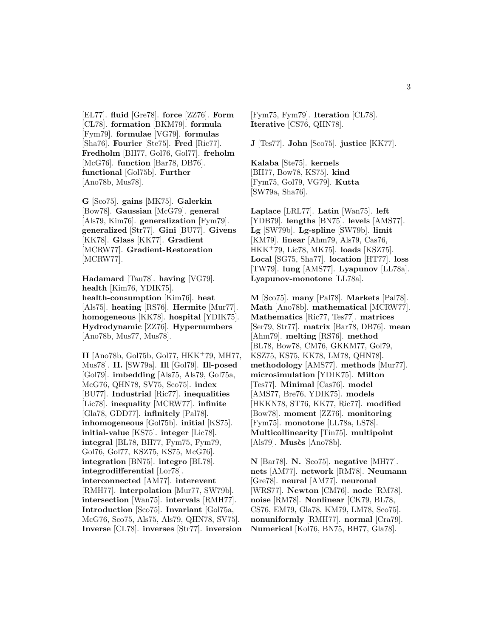[EL77]. **fluid** [Gre78]. **force** [ZZ76]. **Form** [CL78]. **formation** [BKM79]. **formula** [Fym79]. **formulae** [VG79]. **formulas** [Sha76]. **Fourier** [Ste75]. **Fred** [Ric77]. **Fredholm** [BH77, Gol76, Gol77]. **freholm** [McG76]. **function** [Bar78, DB76]. **functional** [Gol75b]. **Further** [Ano78b, Mus78].

**G** [Sco75]. **gains** [MK75]. **Galerkin** [Bow78]. **Gaussian** [McG79]. **general** [Als79, Kim76]. **generalization** [Fym79]. **generalized** [Str77]. **Gini** [BU77]. **Givens** [KK78]. **Glass** [KK77]. **Gradient** [MCRW77]. **Gradient-Restoration** [MCRW77].

**Hadamard** [Tau78]. **having** [VG79]. **health** [Kim76, YDIK75]. **health-consumption** [Kim76]. **heat** [Als75]. **heating** [RS76]. **Hermite** [Mur77]. **homogeneous** [KK78]. **hospital** [YDIK75]. **Hydrodynamic** [ZZ76]. **Hypernumbers** [Ano78b, Mus77, Mus78].

**II** [Ano78b, Gol75b, Gol77, HKK<sup>+</sup>79, MH77, Mus78]. **II.** [SW79a]. **Ill** [Gol79]. **Ill-posed** [Gol79]. **imbedding** [Als75, Als79, Gol75a, McG76, QHN78, SV75, Sco75]. **index** [BU77]. **Industrial** [Ric77]. **inequalities** [Lic78]. **inequality** [MCRW77]. **infinite** [Gla78, GDD77]. **infinitely** [Pal78]. **inhomogeneous** [Gol75b]. **initial** [KS75]. **initial-value** [KS75]. **integer** [Lic78]. **integral** [BL78, BH77, Fym75, Fym79, Gol76, Gol77, KSZ75, KS75, McG76]. **integration** [BN75]. **integro** [BL78]. **integrodifferential** [Lor78]. **interconnected** [AM77]. **interevent** [RMH77]. **interpolation** [Mur77, SW79b]. **intersection** [Wan75]. **intervals** [RMH77]. **Introduction** [Sco75]. **Invariant** [Gol75a, McG76, Sco75, Als75, Als79, QHN78, SV75]. **Inverse** [CL78]. **inverses** [Str77]. **inversion**

[Fym75, Fym79]. **Iteration** [CL78]. **Iterative** [CS76, QHN78].

**J** [Tes77]. **John** [Sco75]. **justice** [KK77].

**Kalaba** [Ste75]. **kernels** [BH77, Bow78, KS75]. **kind** [Fym75, Gol79, VG79]. **Kutta** [SW79a, Sha76].

**Laplace** [LRL77]. **Latin** [Wan75]. **left** [YDB79]. **lengths** [BN75]. **levels** [AMS77]. **Lg** [SW79b]. **Lg-spline** [SW79b]. **limit** [KM79]. **linear** [Ahm79, Als79, Cas76, HKK<sup>+</sup>79, Lic78, MK75]. **loads** [KSZ75]. **Local** [SG75, Sha77]. **location** [HT77]. **loss** [TW79]. **lung** [AMS77]. **Lyapunov** [LL78a]. **Lyapunov-monotone** [LL78a].

**M** [Sco75]. **many** [Pal78]. **Markets** [Pal78]. **Math** [Ano78b]. **mathematical** [MCRW77]. **Mathematics** [Ric77, Tes77]. **matrices** [Ser79, Str77]. **matrix** [Bar78, DB76]. **mean** [Ahm79]. **melting** [RS76]. **method** [BL78, Bow78, CM76, GKKM77, Gol79, KSZ75, KS75, KK78, LM78, QHN78]. **methodology** [AMS77]. **methods** [Mur77]. **microsimulation** [YDIK75]. **Milton** [Tes77]. **Minimal** [Cas76]. **model** [AMS77, Bre76, YDIK75]. **models** [HKKN78, ST76, KK77, Ric77]. **modified** [Bow78]. **moment** [ZZ76]. **monitoring** [Fym75]. **monotone** [LL78a, LS78]. **Multicollinearity** [Tin75]. **multipoint** [Als79]. **Musès** [Ano78b].

**N** [Bar78]. **N.** [Sco75]. **negative** [MH77]. **nets** [AM77]. **network** [RM78]. **Neumann** [Gre78]. **neural** [AM77]. **neuronal** [WRS77]. **Newton** [CM76]. **node** [RM78]. **noise** [RM78]. **Nonlinear** [CK79, BL78, CS76, EM79, Gla78, KM79, LM78, Sco75]. **nonuniformly** [RMH77]. **normal** [Cra79]. **Numerical** [Kol76, BN75, BH77, Gla78].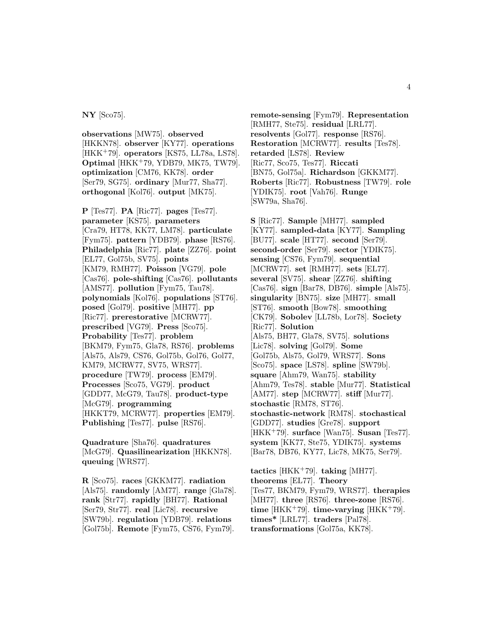#### **NY** [Sco75].

**observations** [MW75]. **observed** [HKKN78]. **observer** [KY77]. **operations** [HKK<sup>+</sup>79]. **operators** [KS75, LL78a, LS78]. **Optimal** [HKK<sup>+</sup>79, YDB79, MK75, TW79]. **optimization** [CM76, KK78]. **order** [Ser79, SG75]. **ordinary** [Mur77, Sha77]. **orthogonal** [Kol76]. **output** [MK75].

**P** [Tes77]. **PA** [Ric77]. **pages** [Tes77]. **parameter** [KS75]. **parameters** [Cra79, HT78, KK77, LM78]. **particulate** [Fym75]. **pattern** [YDB79]. **phase** [RS76]. **Philadelphia** [Ric77]. **plate** [ZZ76]. **point** [EL77, Gol75b, SV75]. **points** [KM79, RMH77]. **Poisson** [VG79]. **pole** [Cas76]. **pole-shifting** [Cas76]. **pollutants** [AMS77]. **pollution** [Fym75, Tau78]. **polynomials** [Kol76]. **populations** [ST76]. **posed** [Gol79]. **positive** [MH77]. **pp** [Ric77]. **prerestorative** [MCRW77]. **prescribed** [VG79]. **Press** [Sco75]. **Probability** [Tes77]. **problem** [BKM79, Fym75, Gla78, RS76]. **problems** [Als75, Als79, CS76, Gol75b, Gol76, Gol77, KM79, MCRW77, SV75, WRS77]. **procedure** [TW79]. **process** [EM79]. **Processes** [Sco75, VG79]. **product** [GDD77, McG79, Tau78]. **product-type** [McG79]. **programming** [HKKT79, MCRW77]. **properties** [EM79]. **Publishing** [Tes77]. **pulse** [RS76].

**Quadrature** [Sha76]. **quadratures** [McG79]. **Quasilinearization** [HKKN78]. **queuing** [WRS77].

**R** [Sco75]. **races** [GKKM77]. **radiation** [Als75]. **randomly** [AM77]. **range** [Gla78]. **rank** [Str77]. **rapidly** [BH77]. **Rational** [Ser79, Str77]. **real** [Lic78]. **recursive** [SW79b]. **regulation** [YDB79]. **relations** [Gol75b]. **Remote** [Fym75, CS76, Fym79].

**remote-sensing** [Fym79]. **Representation** [RMH77, Ste75]. **residual** [LRL77]. **resolvents** [Gol77]. **response** [RS76]. **Restoration** [MCRW77]. **results** [Tes78]. **retarded** [LS78]. **Review** [Ric77, Sco75, Tes77]. **Riccati** [BN75, Gol75a]. **Richardson** [GKKM77]. **Roberts** [Ric77]. **Robustness** [TW79]. **role** [YDIK75]. **root** [Vah76]. **Runge** [SW79a, Sha76].

**S** [Ric77]. **Sample** [MH77]. **sampled** [KY77]. **sampled-data** [KY77]. **Sampling** [BU77]. **scale** [HT77]. **second** [Ser79]. **second-order** [Ser79]. **sector** [YDIK75]. **sensing** [CS76, Fym79]. **sequential** [MCRW77]. **set** [RMH77]. **sets** [EL77]. **several** [SV75]. **shear** [ZZ76]. **shifting** [Cas76]. **sign** [Bar78, DB76]. **simple** [Als75]. **singularity** [BN75]. **size** [MH77]. **small** [ST76]. **smooth** [Bow78]. **smoothing** [CK79]. **Sobolev** [LL78b, Lor78]. **Society** [Ric77]. **Solution** [Als75, BH77, Gla78, SV75]. **solutions** [Lic78]. **solving** [Gol79]. **Some** [Gol75b, Als75, Gol79, WRS77]. **Sons** [Sco75]. **space** [LS78]. **spline** [SW79b]. **square** [Ahm79, Wan75]. **stability** [Ahm79, Tes78]. **stable** [Mur77]. **Statistical** [AM77]. **step** [MCRW77]. **stiff** [Mur77]. **stochastic** [RM78, ST76]. **stochastic-network** [RM78]. **stochastical** [GDD77]. **studies** [Gre78]. **support** [HKK<sup>+</sup>79]. **surface** [Wan75]. **Susan** [Tes77]. **system** [KK77, Ste75, YDIK75]. **systems** [Bar78, DB76, KY77, Lic78, MK75, Ser79].

**tactics** [HKK<sup>+</sup>79]. **taking** [MH77]. **theorems** [EL77]. **Theory** [Tes77, BKM79, Fym79, WRS77]. **therapies** [MH77]. **three** [RS76]. **three-zone** [RS76]. **time** [HKK<sup>+</sup>79]. **time-varying** [HKK<sup>+</sup>79]. **times\*** [LRL77]. **traders** [Pal78]. **transformations** [Gol75a, KK78].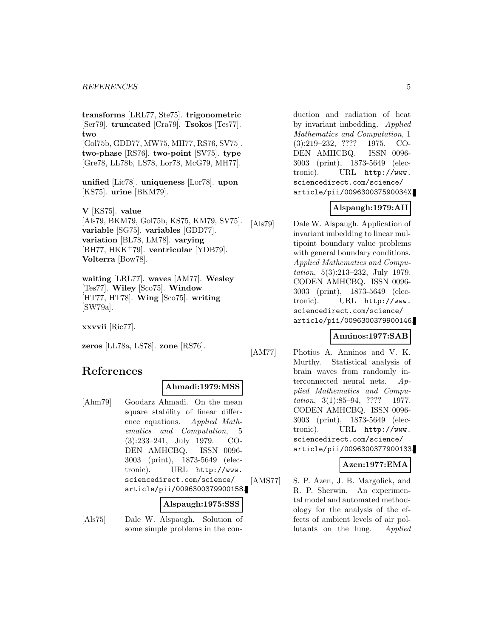**transforms** [LRL77, Ste75]. **trigonometric** [Ser79]. **truncated** [Cra79]. **Tsokos** [Tes77]. **two** [Gol75b, GDD77, MW75, MH77, RS76, SV75]. **two-phase** [RS76]. **two-point** [SV75]. **type**

[Gre78, LL78b, LS78, Lor78, McG79, MH77].

**unified** [Lic78]. **uniqueness** [Lor78]. **upon** [KS75]. **urine** [BKM79].

**V** [KS75]. **value** [Als79, BKM79, Gol75b, KS75, KM79, SV75]. **variable** [SG75]. **variables** [GDD77]. **variation** [BL78, LM78]. **varying** [BH77, HKK<sup>+</sup>79]. **ventricular** [YDB79]. **Volterra** [Bow78].

**waiting** [LRL77]. **waves** [AM77]. **Wesley** [Tes77]. **Wiley** [Sco75]. **Window** [HT77, HT78]. **Wing** [Sco75]. **writing** [SW79a].

**xxvvii** [Ric77].

**zeros** [LL78a, LS78]. **zone** [RS76].

# **References**

#### **Ahmadi:1979:MSS**

[Ahm79] Goodarz Ahmadi. On the mean square stability of linear difference equations. Applied Mathematics and Computation, 5 (3):233–241, July 1979. CO-DEN AMHCBQ. ISSN 0096- 3003 (print), 1873-5649 (electronic). URL http://www. sciencedirect.com/science/ article/pii/0096300379900158.

**Alspaugh:1975:SSS**

[Als75] Dale W. Alspaugh. Solution of some simple problems in the conduction and radiation of heat by invariant imbedding. Applied Mathematics and Computation, 1 (3):219–232, ???? 1975. CO-DEN AMHCBQ. ISSN 0096- 3003 (print), 1873-5649 (electronic). URL http://www. sciencedirect.com/science/ article/pii/009630037590034X.

# **Alspaugh:1979:AII**

[Als79] Dale W. Alspaugh. Application of invariant imbedding to linear multipoint boundary value problems with general boundary conditions. Applied Mathematics and Computation, 5(3):213–232, July 1979. CODEN AMHCBQ. ISSN 0096- 3003 (print), 1873-5649 (electronic). URL http://www. sciencedirect.com/science/ article/pii/0096300379900146.

### **Anninos:1977:SAB**

[AM77] Photios A. Anninos and V. K. Murthy. Statistical analysis of brain waves from randomly interconnected neural nets. Applied Mathematics and Computation, 3(1):85–94, ???? 1977. CODEN AMHCBQ. ISSN 0096- 3003 (print), 1873-5649 (electronic). URL http://www. sciencedirect.com/science/ article/pii/0096300377900133.

### **Azen:1977:EMA**

[AMS77] S. P. Azen, J. B. Margolick, and R. P. Sherwin. An experimental model and automated methodology for the analysis of the effects of ambient levels of air pollutants on the lung. Applied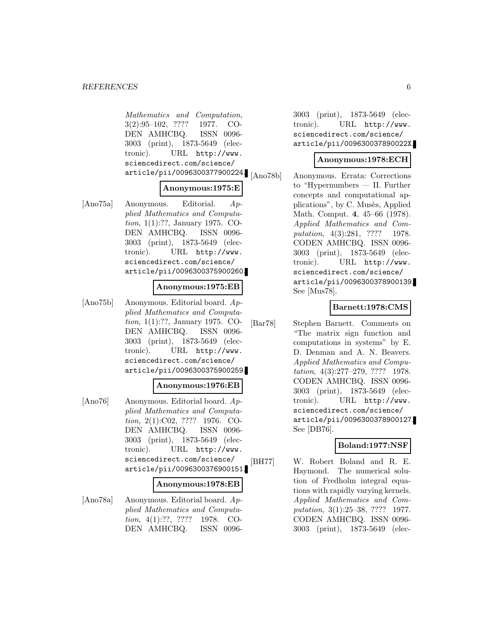Mathematics and Computation, 3(2):95–102, ???? 1977. CO-DEN AMHCBQ. ISSN 0096- 3003 (print), 1873-5649 (electronic). URL http://www. sciencedirect.com/science/ article/pii/0096300377900224.

# **Anonymous:1975:E**

[Ano75a] Anonymous. Editorial. Applied Mathematics and Computation, 1(1):??, January 1975. CO-DEN AMHCBQ. ISSN 0096- 3003 (print), 1873-5649 (electronic). URL http://www. sciencedirect.com/science/ article/pii/0096300375900260.

#### **Anonymous:1975:EB**

[Ano75b] Anonymous. Editorial board. Applied Mathematics and Computation, 1(1):??, January 1975. CO-DEN AMHCBQ. ISSN 0096- 3003 (print), 1873-5649 (electronic). URL http://www. sciencedirect.com/science/ article/pii/0096300375900259.

#### **Anonymous:1976:EB**

[Ano76] Anonymous. Editorial board. Applied Mathematics and Computation, 2(1):C02, ???? 1976. CO-DEN AMHCBQ. ISSN 0096- 3003 (print), 1873-5649 (electronic). URL http://www. sciencedirect.com/science/ article/pii/0096300376900151.

#### **Anonymous:1978:EB**

[Ano78a] Anonymous. Editorial board. Applied Mathematics and Computation, 4(1):??, ???? 1978. CO-DEN AMHCBQ. ISSN 00963003 (print), 1873-5649 (electronic). URL http://www. sciencedirect.com/science/ article/pii/009630037890022X.

### **Anonymous:1978:ECH**

[Ano78b] Anonymous. Errata: Corrections to "Hypernumbers — II. Further concepts and computational applications", by C. Musès, Applied Math. Comput. **4**, 45–66 (1978). Applied Mathematics and Computation, 4(3):281, ???? 1978. CODEN AMHCBQ. ISSN 0096- 3003 (print), 1873-5649 (electronic). URL http://www. sciencedirect.com/science/ article/pii/0096300378900139. See [Mus78].

### **Barnett:1978:CMS**

[Bar78] Stephen Barnett. Comments on "The matrix sign function and computations in systems" by E. D. Denman and A. N. Beavers. Applied Mathematics and Computation, 4(3):277–279, ???? 1978. CODEN AMHCBQ. ISSN 0096- 3003 (print), 1873-5649 (electronic). URL http://www. sciencedirect.com/science/ article/pii/0096300378900127. See [DB76].

### **Boland:1977:NSF**

[BH77] W. Robert Boland and R. E. Haymond. The numerical solution of Fredholm integral equations with rapidly varying kernels. Applied Mathematics and Computation, 3(1):25–38, ???? 1977. CODEN AMHCBQ. ISSN 0096- 3003 (print), 1873-5649 (elec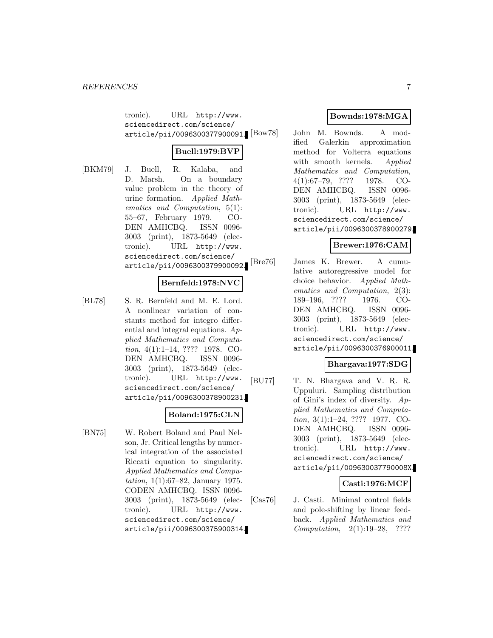tronic). URL http://www. sciencedirect.com/science/ article/pii/0096300377900091. [Bow78]

### **Buell:1979:BVP**

[BKM79] J. Buell, R. Kalaba, and D. Marsh. On a boundary value problem in the theory of urine formation. Applied Mathematics and Computation, 5(1): 55–67, February 1979. CO-DEN AMHCBQ. ISSN 0096- 3003 (print), 1873-5649 (electronic). URL http://www. sciencedirect.com/science/ article/pii/0096300379900092.

### **Bernfeld:1978:NVC**

[BL78] S. R. Bernfeld and M. E. Lord. A nonlinear variation of constants method for integro differential and integral equations.  $Ap$ plied Mathematics and Computation, 4(1):1–14, ???? 1978. CO-DEN AMHCBQ. ISSN 0096- 3003 (print), 1873-5649 (electronic). URL http://www. sciencedirect.com/science/ article/pii/0096300378900231.

### **Boland:1975:CLN**

[BN75] W. Robert Boland and Paul Nelson, Jr. Critical lengths by numerical integration of the associated Riccati equation to singularity. Applied Mathematics and Computation, 1(1):67–82, January 1975. CODEN AMHCBQ. ISSN 0096- 3003 (print), 1873-5649 (electronic). URL http://www. sciencedirect.com/science/ article/pii/0096300375900314.

### **Bownds:1978:MGA**

John M. Bownds. A modified Galerkin approximation method for Volterra equations with smooth kernels. Applied Mathematics and Computation, 4(1):67–79, ???? 1978. CO-DEN AMHCBQ. ISSN 0096- 3003 (print), 1873-5649 (electronic). URL http://www. sciencedirect.com/science/ article/pii/0096300378900279.

### **Brewer:1976:CAM**

[Bre76] James K. Brewer. A cumulative autoregressive model for choice behavior. Applied Mathematics and Computation, 2(3): 189–196, ???? 1976. CO-DEN AMHCBQ. ISSN 0096- 3003 (print), 1873-5649 (electronic). URL http://www. sciencedirect.com/science/ article/pii/0096300376900011.

### **Bhargava:1977:SDG**

[BU77] T. N. Bhargava and V. R. R. Uppuluri. Sampling distribution of Gini's index of diversity.  $Ap$ plied Mathematics and Computation, 3(1):1–24, ???? 1977. CO-DEN AMHCBQ. ISSN 0096- 3003 (print), 1873-5649 (electronic). URL http://www. sciencedirect.com/science/ article/pii/009630037790008X.

### **Casti:1976:MCF**

[Cas76] J. Casti. Minimal control fields and pole-shifting by linear feedback. Applied Mathematics and Computation, 2(1):19–28, ????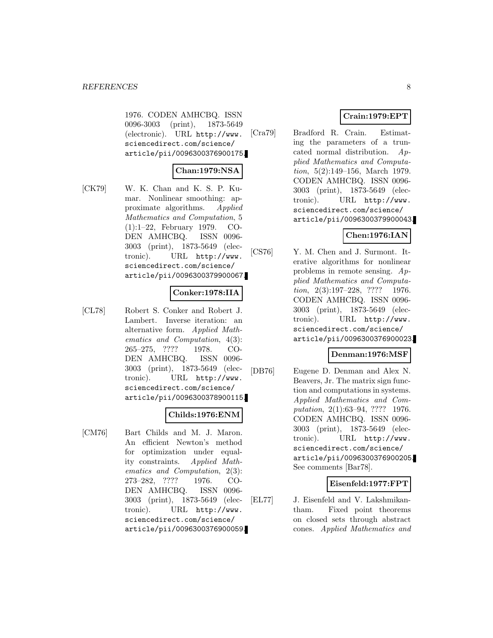1976. CODEN AMHCBQ. ISSN 0096-3003 (print), 1873-5649 (electronic). URL http://www. sciencedirect.com/science/ article/pii/0096300376900175.

### **Chan:1979:NSA**

[CK79] W. K. Chan and K. S. P. Kumar. Nonlinear smoothing: approximate algorithms. Applied Mathematics and Computation, 5 (1):1–22, February 1979. CO-DEN AMHCBQ. ISSN 0096- 3003 (print), 1873-5649 (electronic). URL http://www. sciencedirect.com/science/ article/pii/0096300379900067.

### **Conker:1978:IIA**

[CL78] Robert S. Conker and Robert J. Lambert. Inverse iteration: an alternative form. Applied Mathematics and Computation, 4(3): 265–275, ???? 1978. CO-DEN AMHCBQ. ISSN 0096- 3003 (print), 1873-5649 (electronic). URL http://www. sciencedirect.com/science/ article/pii/0096300378900115.

### **Childs:1976:ENM**

[CM76] Bart Childs and M. J. Maron. An efficient Newton's method for optimization under equality constraints. Applied Mathematics and Computation, 2(3): 273–282, ???? 1976. CO-DEN AMHCBQ. ISSN 0096- 3003 (print), 1873-5649 (electronic). URL http://www. sciencedirect.com/science/ article/pii/0096300376900059.

# **Crain:1979:EPT**

[Cra79] Bradford R. Crain. Estimating the parameters of a truncated normal distribution. Applied Mathematics and Computation, 5(2):149–156, March 1979. CODEN AMHCBQ. ISSN 0096- 3003 (print), 1873-5649 (electronic). URL http://www. sciencedirect.com/science/ article/pii/0096300379900043.

### **Chen:1976:IAN**

[CS76] Y. M. Chen and J. Surmont. Iterative algorithms for nonlinear problems in remote sensing. Applied Mathematics and Computation, 2(3):197–228, ???? 1976. CODEN AMHCBQ. ISSN 0096- 3003 (print), 1873-5649 (electronic). URL http://www. sciencedirect.com/science/ article/pii/0096300376900023.

# **Denman:1976:MSF**

[DB76] Eugene D. Denman and Alex N. Beavers, Jr. The matrix sign function and computations in systems. Applied Mathematics and Computation, 2(1):63–94, ???? 1976. CODEN AMHCBQ. ISSN 0096- 3003 (print), 1873-5649 (electronic). URL http://www. sciencedirect.com/science/ article/pii/0096300376900205. See comments [Bar78].

### **Eisenfeld:1977:FPT**

[EL77] J. Eisenfeld and V. Lakshmikantham. Fixed point theorems on closed sets through abstract cones. Applied Mathematics and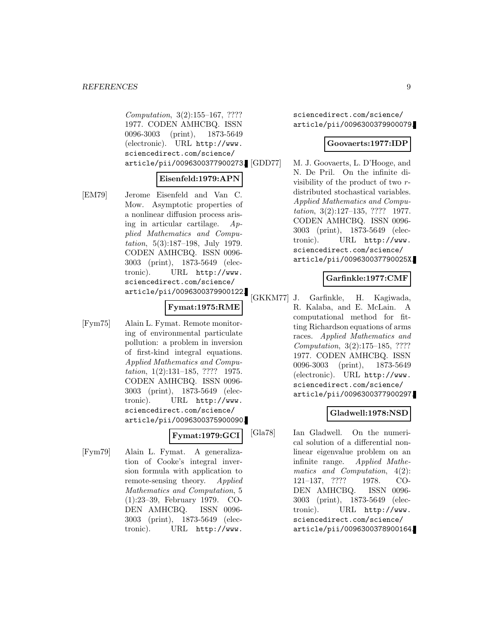Computation, 3(2):155–167, ???? 1977. CODEN AMHCBQ. ISSN 0096-3003 (print), 1873-5649 (electronic). URL http://www. sciencedirect.com/science/ article/pii/0096300377900273.

### **Eisenfeld:1979:APN**

[EM79] Jerome Eisenfeld and Van C. Mow. Asymptotic properties of a nonlinear diffusion process arising in articular cartilage. Applied Mathematics and Computation, 5(3):187–198, July 1979. CODEN AMHCBQ. ISSN 0096- 3003 (print), 1873-5649 (electronic). URL http://www. sciencedirect.com/science/ article/pii/0096300379900122.

### **Fymat:1975:RME**

[Fym75] Alain L. Fymat. Remote monitoring of environmental particulate pollution: a problem in inversion of first-kind integral equations. Applied Mathematics and Computation, 1(2):131–185, ???? 1975. CODEN AMHCBQ. ISSN 0096- 3003 (print), 1873-5649 (electronic). URL http://www. sciencedirect.com/science/ article/pii/0096300375900090.

**Fymat:1979:GCI**

[Fym79] Alain L. Fymat. A generalization of Cooke's integral inversion formula with application to remote-sensing theory. Applied Mathematics and Computation, 5 (1):23–39, February 1979. CO-DEN AMHCBQ. ISSN 0096- 3003 (print), 1873-5649 (electronic). URL http://www.

sciencedirect.com/science/ article/pii/0096300379900079.

#### **Goovaerts:1977:IDP**

M. J. Goovaerts, L. D'Hooge, and N. De Pril. On the infinite divisibility of the product of two rdistributed stochastical variables. Applied Mathematics and Computation, 3(2):127–135, ???? 1977. CODEN AMHCBQ. ISSN 0096- 3003 (print), 1873-5649 (electronic). URL http://www. sciencedirect.com/science/ article/pii/009630037790025X.

### **Garfinkle:1977:CMF**

[GKKM77] J. Garfinkle, H. Kagiwada, R. Kalaba, and E. McLain. A computational method for fitting Richardson equations of arms races. Applied Mathematics and Computation, 3(2):175–185, ???? 1977. CODEN AMHCBQ. ISSN 0096-3003 (print), 1873-5649 (electronic). URL http://www. sciencedirect.com/science/ article/pii/0096300377900297.

### **Gladwell:1978:NSD**

[Gla78] Ian Gladwell. On the numerical solution of a differential nonlinear eigenvalue problem on an infinite range. Applied Mathematics and Computation, 4(2): 121–137, ???? 1978. CO-DEN AMHCBQ. ISSN 0096- 3003 (print), 1873-5649 (electronic). URL http://www. sciencedirect.com/science/ article/pii/0096300378900164.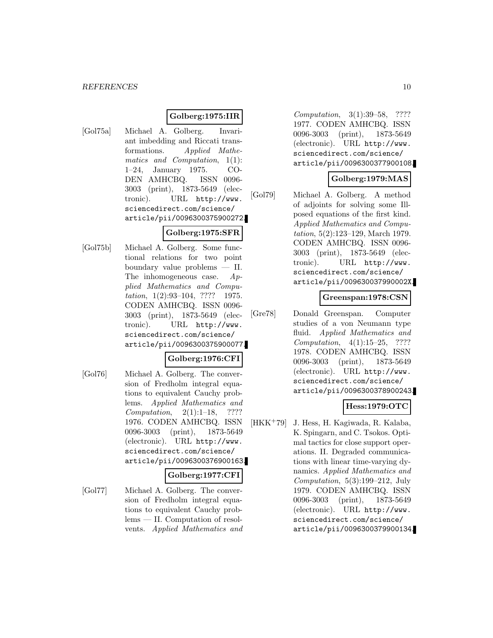### **Golberg:1975:IIR**

[Gol75a] Michael A. Golberg. Invariant imbedding and Riccati transformations. Applied Mathematics and Computation, 1(1): 1–24, January 1975. CO-DEN AMHCBQ. ISSN 0096- 3003 (print), 1873-5649 (electronic). URL http://www. sciencedirect.com/science/ article/pii/0096300375900272.

### **Golberg:1975:SFR**

[Gol75b] Michael A. Golberg. Some functional relations for two point boundary value problems — II. The inhomogeneous case.  $Ap$ plied Mathematics and Computation, 1(2):93-104, ???? 1975. CODEN AMHCBQ. ISSN 0096- 3003 (print), 1873-5649 (electronic). URL http://www. sciencedirect.com/science/ article/pii/0096300375900077.

#### **Golberg:1976:CFI**

[Gol76] Michael A. Golberg. The conversion of Fredholm integral equations to equivalent Cauchy problems. Applied Mathematics and Computation, 2(1):1–18, ???? 1976. CODEN AMHCBQ. ISSN 0096-3003 (print), 1873-5649 (electronic). URL http://www. sciencedirect.com/science/ article/pii/0096300376900163.

### **Golberg:1977:CFI**

[Gol77] Michael A. Golberg. The conversion of Fredholm integral equations to equivalent Cauchy problems — II. Computation of resolvents. Applied Mathematics and

Computation, 3(1):39–58, ???? 1977. CODEN AMHCBQ. ISSN 0096-3003 (print), 1873-5649 (electronic). URL http://www. sciencedirect.com/science/ article/pii/0096300377900108.

### **Golberg:1979:MAS**

[Gol79] Michael A. Golberg. A method of adjoints for solving some Illposed equations of the first kind. Applied Mathematics and Computation, 5(2):123–129, March 1979. CODEN AMHCBQ. ISSN 0096- 3003 (print), 1873-5649 (electronic). URL http://www. sciencedirect.com/science/ article/pii/009630037990002X.

#### **Greenspan:1978:CSN**

[Gre78] Donald Greenspan. Computer studies of a von Neumann type fluid. Applied Mathematics and Computation, 4(1):15–25, ???? 1978. CODEN AMHCBQ. ISSN 0096-3003 (print), 1873-5649 (electronic). URL http://www. sciencedirect.com/science/ article/pii/0096300378900243.

### **Hess:1979:OTC**

[HKK<sup>+</sup>79] J. Hess, H. Kagiwada, R. Kalaba, K. Spingarn, and C. Tsokos. Optimal tactics for close support operations. II. Degraded communications with linear time-varying dynamics. Applied Mathematics and Computation,  $5(3):199-212$ , July 1979. CODEN AMHCBQ. ISSN 0096-3003 (print), 1873-5649 (electronic). URL http://www. sciencedirect.com/science/ article/pii/0096300379900134.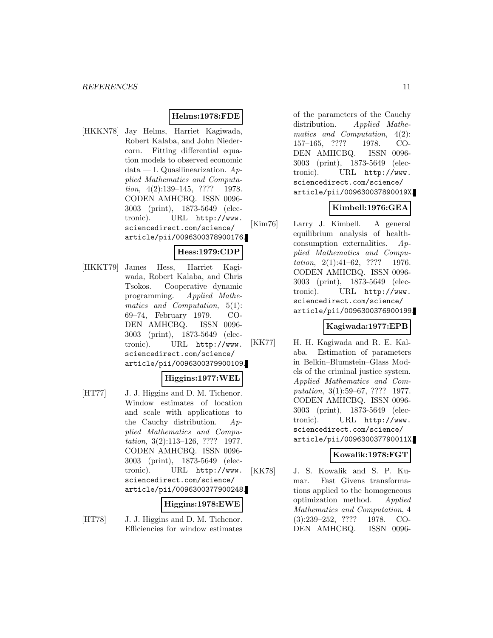### **Helms:1978:FDE**

[HKKN78] Jay Helms, Harriet Kagiwada, Robert Kalaba, and John Niedercorn. Fitting differential equation models to observed economic data — I. Quasilinearization.  $Ap$ plied Mathematics and Computation, 4(2):139-145, ???? 1978. CODEN AMHCBQ. ISSN 0096- 3003 (print), 1873-5649 (electronic). URL http://www. sciencedirect.com/science/ article/pii/0096300378900176.

### **Hess:1979:CDP**

[HKKT79] James Hess, Harriet Kagiwada, Robert Kalaba, and Chris Tsokos. Cooperative dynamic programming. Applied Mathematics and Computation, 5(1): 69–74, February 1979. CO-DEN AMHCBQ. ISSN 0096- 3003 (print), 1873-5649 (electronic). URL http://www. sciencedirect.com/science/ article/pii/0096300379900109.

#### **Higgins:1977:WEL**

[HT77] J. J. Higgins and D. M. Tichenor. Window estimates of location and scale with applications to the Cauchy distribution.  $Ap$ plied Mathematics and Computation, 3(2):113–126, ???? 1977. CODEN AMHCBQ. ISSN 0096- 3003 (print), 1873-5649 (electronic). URL http://www. sciencedirect.com/science/ article/pii/0096300377900248.

#### **Higgins:1978:EWE**

[HT78] J. J. Higgins and D. M. Tichenor. Efficiencies for window estimates of the parameters of the Cauchy distribution. Applied Mathematics and Computation, 4(2): 157–165, ???? 1978. CO-DEN AMHCBQ. ISSN 0096- 3003 (print), 1873-5649 (electronic). URL http://www. sciencedirect.com/science/ article/pii/009630037890019X.

# **Kimbell:1976:GEA**

[Kim76] Larry J. Kimbell. A general equilibrium analysis of healthconsumption externalities. Applied Mathematics and Computation, 2(1):41–62, ???? 1976. CODEN AMHCBQ. ISSN 0096- 3003 (print), 1873-5649 (electronic). URL http://www. sciencedirect.com/science/ article/pii/0096300376900199.

### **Kagiwada:1977:EPB**

[KK77] H. H. Kagiwada and R. E. Kalaba. Estimation of parameters in Belkin–Blumstein–Glass Models of the criminal justice system. Applied Mathematics and Computation, 3(1):59–67, ???? 1977. CODEN AMHCBQ. ISSN 0096- 3003 (print), 1873-5649 (electronic). URL http://www. sciencedirect.com/science/ article/pii/009630037790011X.

### **Kowalik:1978:FGT**

[KK78] J. S. Kowalik and S. P. Kumar. Fast Givens transformations applied to the homogeneous optimization method. Applied Mathematics and Computation, 4 (3):239–252, ???? 1978. CO-DEN AMHCBQ. ISSN 0096-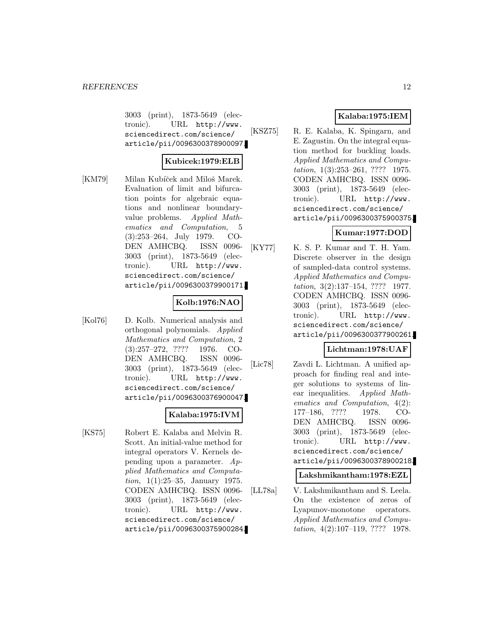3003 (print), 1873-5649 (electronic). URL http://www. sciencedirect.com/science/ article/pii/0096300378900097.

### **Kubicek:1979:ELB**

[KM79] Milan Kubíček and Miloš Marek. Evaluation of limit and bifurcation points for algebraic equations and nonlinear boundaryvalue problems. Applied Mathematics and Computation, 5 (3):253–264, July 1979. CO-DEN AMHCBQ. ISSN 0096- 3003 (print), 1873-5649 (electronic). URL http://www. sciencedirect.com/science/ article/pii/0096300379900171.

### **Kolb:1976:NAO**

[Kol76] D. Kolb. Numerical analysis and orthogonal polynomials. Applied Mathematics and Computation, 2 (3):257–272, ???? 1976. CO-DEN AMHCBQ. ISSN 0096- 3003 (print), 1873-5649 (electronic). URL http://www. sciencedirect.com/science/ article/pii/0096300376900047.

### **Kalaba:1975:IVM**

[KS75] Robert E. Kalaba and Melvin R. Scott. An initial-value method for integral operators V. Kernels depending upon a parameter. Applied Mathematics and Computation, 1(1):25–35, January 1975. CODEN AMHCBQ. ISSN 0096- 3003 (print), 1873-5649 (electronic). URL http://www. sciencedirect.com/science/ article/pii/0096300375900284.

### **Kalaba:1975:IEM**

[KSZ75] R. E. Kalaba, K. Spingarn, and E. Zagustin. On the integral equation method for buckling loads. Applied Mathematics and Computation, 1(3):253–261, ???? 1975. CODEN AMHCBQ. ISSN 0096- 3003 (print), 1873-5649 (electronic). URL http://www. sciencedirect.com/science/ article/pii/0096300375900375.

# **Kumar:1977:DOD**

[KY77] K. S. P. Kumar and T. H. Yam. Discrete observer in the design of sampled-data control systems. Applied Mathematics and Computation, 3(2):137–154, ???? 1977. CODEN AMHCBQ. ISSN 0096- 3003 (print), 1873-5649 (electronic). URL http://www. sciencedirect.com/science/ article/pii/0096300377900261.

# **Lichtman:1978:UAF**

[Lic78] Zavdi L. Lichtman. A unified approach for finding real and integer solutions to systems of linear inequalities. Applied Mathematics and Computation, 4(2): 177–186, ???? 1978. CO-DEN AMHCBQ. ISSN 0096- 3003 (print), 1873-5649 (electronic). URL http://www. sciencedirect.com/science/ article/pii/0096300378900218.

### **Lakshmikantham:1978:EZL**

[LL78a] V. Lakshmikantham and S. Leela. On the existence of zeros of Lyapunov-monotone operators. Applied Mathematics and Computation,  $4(2):107-119$ , ???? 1978.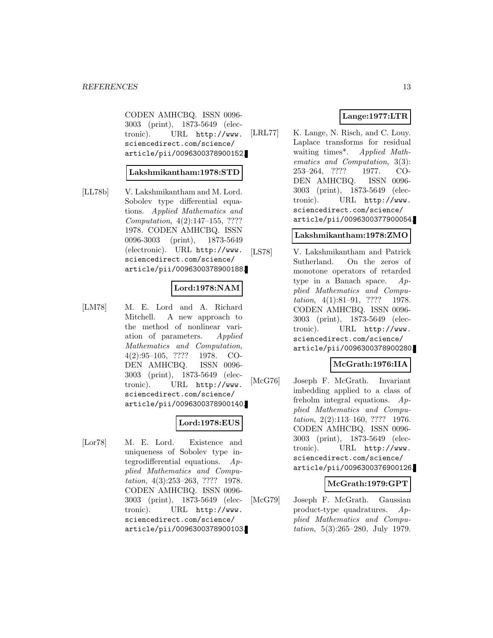CODEN AMHCBQ. ISSN 0096- 3003 (print), 1873-5649 (electronic). URL http://www. sciencedirect.com/science/ article/pii/0096300378900152.

### **Lakshmikantham:1978:STD**

[LL78b] V. Lakshmikantham and M. Lord. Sobolev type differential equations. Applied Mathematics and Computation, 4(2):147–155, ???? 1978. CODEN AMHCBQ. ISSN 0096-3003 (print), 1873-5649 (electronic). URL http://www. sciencedirect.com/science/ article/pii/0096300378900188.

### **Lord:1978:NAM**

[LM78] M. E. Lord and A. Richard Mitchell. A new approach to the method of nonlinear variation of parameters. Applied Mathematics and Computation, 4(2):95–105, ???? 1978. CO-DEN AMHCBQ. ISSN 0096- 3003 (print), 1873-5649 (electronic). URL http://www. sciencedirect.com/science/ article/pii/0096300378900140.

#### **Lord:1978:EUS**

[Lor78] M. E. Lord. Existence and uniqueness of Sobolev type integrodifferential equations.  $Ap$ plied Mathematics and Computation, 4(3):253–263, ???? 1978. CODEN AMHCBQ. ISSN 0096- 3003 (print), 1873-5649 (electronic). URL http://www. sciencedirect.com/science/ article/pii/0096300378900103.

### **Lange:1977:LTR**

[LRL77] K. Lange, N. Risch, and C. Louy. Laplace transforms for residual waiting times\*. Applied Mathematics and Computation, 3(3): 253–264, ???? 1977. CO-DEN AMHCBQ. ISSN 0096- 3003 (print), 1873-5649 (electronic). URL http://www. sciencedirect.com/science/ article/pii/0096300377900054.

### **Lakshmikantham:1978:ZMO**

[LS78] V. Lakshmikantham and Patrick Sutherland. On the zeros of monotone operators of retarded type in a Banach space. Applied Mathematics and Computation, 4(1):81–91, ???? 1978. CODEN AMHCBQ. ISSN 0096- 3003 (print), 1873-5649 (electronic). URL http://www. sciencedirect.com/science/ article/pii/0096300378900280.

#### **McGrath:1976:IIA**

[McG76] Joseph F. McGrath. Invariant imbedding applied to a class of freholm integral equations. Applied Mathematics and Computation, 2(2):113–160, ???? 1976. CODEN AMHCBQ. ISSN 0096- 3003 (print), 1873-5649 (electronic). URL http://www. sciencedirect.com/science/ article/pii/0096300376900126.

#### **McGrath:1979:GPT**

[McG79] Joseph F. McGrath. Gaussian product-type quadratures. Applied Mathematics and Computation, 5(3):265–280, July 1979.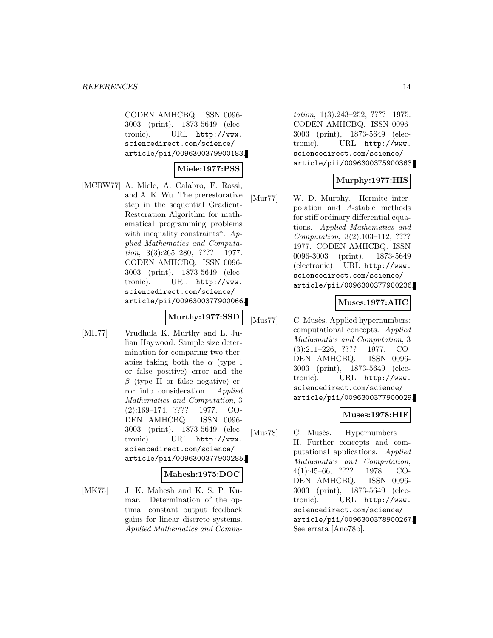CODEN AMHCBQ. ISSN 0096- 3003 (print), 1873-5649 (electronic). URL http://www. sciencedirect.com/science/ article/pii/0096300379900183.

### **Miele:1977:PSS**

[MCRW77] A. Miele, A. Calabro, F. Rossi, and A. K. Wu. The prerestorative step in the sequential Gradient-Restoration Algorithm for mathematical programming problems with inequality constraints<sup>\*</sup>.  $Ap$ plied Mathematics and Computation, 3(3):265–280, ???? 1977. CODEN AMHCBQ. ISSN 0096- 3003 (print), 1873-5649 (electronic). URL http://www. sciencedirect.com/science/ article/pii/0096300377900066.

$$
\text{Murthy:} 1977 \text{:} \text{SSD}
$$

[MH77] Vrudhula K. Murthy and L. Julian Haywood. Sample size determination for comparing two therapies taking both the  $\alpha$  (type I or false positive) error and the  $\beta$  (type II or false negative) error into consideration. Applied Mathematics and Computation, 3 (2):169–174, ???? 1977. CO-DEN AMHCBQ. ISSN 0096- 3003 (print), 1873-5649 (electronic). URL http://www. sciencedirect.com/science/ article/pii/0096300377900285.

#### **Mahesh:1975:DOC**

[MK75] J. K. Mahesh and K. S. P. Kumar. Determination of the optimal constant output feedback gains for linear discrete systems. Applied Mathematics and Compu-

tation, 1(3):243–252, ???? 1975. CODEN AMHCBQ. ISSN 0096- 3003 (print), 1873-5649 (electronic). URL http://www. sciencedirect.com/science/ article/pii/0096300375900363.

# **Murphy:1977:HIS**

[Mur77] W. D. Murphy. Hermite interpolation and A-stable methods for stiff ordinary differential equations. Applied Mathematics and Computation, 3(2):103–112, ???? 1977. CODEN AMHCBQ. ISSN 0096-3003 (print), 1873-5649 (electronic). URL http://www. sciencedirect.com/science/ article/pii/0096300377900236.

### **Muses:1977:AHC**

[Mus77] C. Musès. Applied hypernumbers: computational concepts. Applied Mathematics and Computation, 3 (3):211–226, ???? 1977. CO-DEN AMHCBQ. ISSN 0096- 3003 (print), 1873-5649 (electronic). URL http://www. sciencedirect.com/science/ article/pii/0096300377900029.

### **Muses:1978:HIF**

[Mus78] C. Musès. Hypernumbers — II. Further concepts and computational applications. Applied Mathematics and Computation, 4(1):45–66, ???? 1978. CO-DEN AMHCBQ. ISSN 0096- 3003 (print), 1873-5649 (electronic). URL http://www. sciencedirect.com/science/ article/pii/0096300378900267. See errata [Ano78b].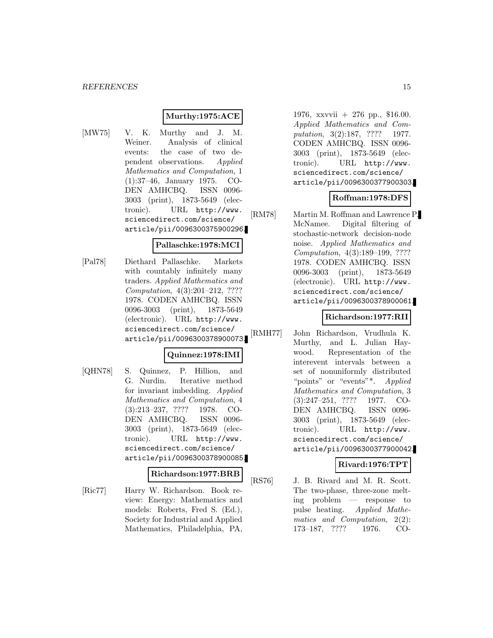### **Murthy:1975:ACE**

[MW75] V. K. Murthy and J. M. Weiner. Analysis of clinical events: the case of two dependent observations. Applied Mathematics and Computation, 1 (1):37–46, January 1975. CO-DEN AMHCBQ. ISSN 0096- 3003 (print), 1873-5649 (electronic). URL http://www. sciencedirect.com/science/ article/pii/0096300375900296.

#### **Pallaschke:1978:MCI**

[Pal78] Diethard Pallaschke. Markets with countably infinitely many traders. Applied Mathematics and Computation, 4(3):201–212, ???? 1978. CODEN AMHCBQ. ISSN 0096-3003 (print), 1873-5649 (electronic). URL http://www. sciencedirect.com/science/ article/pii/0096300378900073.

### **Quinnez:1978:IMI**

[QHN78] S. Quinnez, P. Hillion, and G. Nurdin. Iterative method for invariant imbedding. Applied Mathematics and Computation, 4 (3):213–237, ???? 1978. CO-DEN AMHCBQ. ISSN 0096- 3003 (print), 1873-5649 (electronic). URL http://www. sciencedirect.com/science/ article/pii/0096300378900085.

#### **Richardson:1977:BRB**

[Ric77] Harry W. Richardson. Book review: Energy: Mathematics and models: Roberts, Fred S. (Ed.), Society for Industrial and Applied Mathematics, Philadelphia, PA,

1976, xxvvii + 276 pp., \$16.00. Applied Mathematics and Computation, 3(2):187, ???? 1977. CODEN AMHCBQ. ISSN 0096- 3003 (print), 1873-5649 (electronic). URL http://www. sciencedirect.com/science/ article/pii/0096300377900303.

### **Roffman:1978:DFS**

[RM78] Martin M. Roffman and Lawrence P. McNamee. Digital filtering of stochastic-network decision-node noise. Applied Mathematics and Computation, 4(3):189–199, ???? 1978. CODEN AMHCBQ. ISSN 0096-3003 (print), 1873-5649 (electronic). URL http://www. sciencedirect.com/science/ article/pii/0096300378900061.

### **Richardson:1977:RII**

[RMH77] John Richardson, Vrudhula K. Murthy, and L. Julian Haywood. Representation of the interevent intervals between a set of nonuniformly distributed "points" or "events"\*. Applied Mathematics and Computation, 3 (3):247–251, ???? 1977. CO-DEN AMHCBQ. ISSN 0096- 3003 (print), 1873-5649 (electronic). URL http://www. sciencedirect.com/science/ article/pii/0096300377900042.

### **Rivard:1976:TPT**

[RS76] J. B. Rivard and M. R. Scott. The two-phase, three-zone melting problem — response to pulse heating. Applied Mathematics and Computation, 2(2): 173–187, ???? 1976. CO-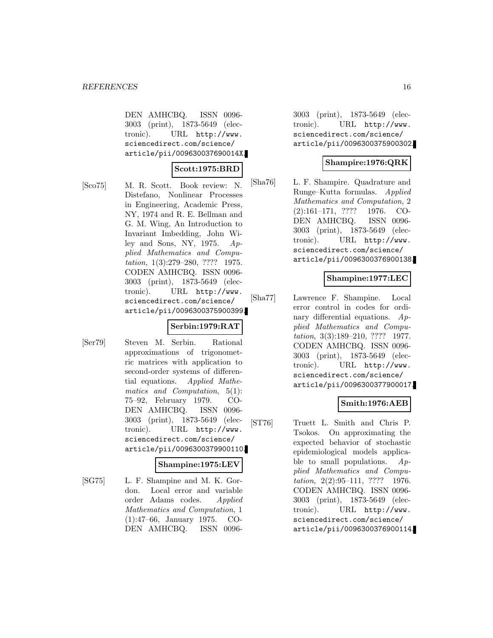DEN AMHCBQ. ISSN 0096- 3003 (print), 1873-5649 (electronic). URL http://www. sciencedirect.com/science/ article/pii/009630037690014X.

### **Scott:1975:BRD**

[Sco75] M. R. Scott. Book review: N. Distefano, Nonlinear Processes in Engineering, Academic Press, NY, 1974 and R. E. Bellman and G. M. Wing, An Introduction to Invariant Imbedding, John Wiley and Sons, NY, 1975.  $Ap$ plied Mathematics and Computation, 1(3):279–280, ???? 1975. CODEN AMHCBQ. ISSN 0096- 3003 (print), 1873-5649 (electronic). URL http://www. sciencedirect.com/science/ article/pii/0096300375900399.

### **Serbin:1979:RAT**

[Ser79] Steven M. Serbin. Rational approximations of trigonometric matrices with application to second-order systems of differential equations. Applied Mathematics and Computation, 5(1): 75–92, February 1979. CO-DEN AMHCBQ. ISSN 0096- 3003 (print), 1873-5649 (electronic). URL http://www. sciencedirect.com/science/ article/pii/0096300379900110.

### **Shampine:1975:LEV**

[SG75] L. F. Shampine and M. K. Gordon. Local error and variable order Adams codes. Applied Mathematics and Computation, 1 (1):47–66, January 1975. CO-DEN AMHCBQ. ISSN 00963003 (print), 1873-5649 (electronic). URL http://www. sciencedirect.com/science/ article/pii/0096300375900302.

# **Shampire:1976:QRK**

[Sha76] L. F. Shampire. Quadrature and Runge–Kutta formulas. Applied Mathematics and Computation, 2 (2):161–171, ???? 1976. CO-DEN AMHCBQ. ISSN 0096- 3003 (print), 1873-5649 (electronic). URL http://www. sciencedirect.com/science/ article/pii/0096300376900138.

### **Shampine:1977:LEC**

[Sha77] Lawrence F. Shampine. Local error control in codes for ordinary differential equations. Applied Mathematics and Computation, 3(3):189–210, ???? 1977. CODEN AMHCBQ. ISSN 0096- 3003 (print), 1873-5649 (electronic). URL http://www. sciencedirect.com/science/ article/pii/0096300377900017.

### **Smith:1976:AEB**

[ST76] Truett L. Smith and Chris P. Tsokos. On approximating the expected behavior of stochastic epidemiological models applicable to small populations.  $Ap$ plied Mathematics and Computation, 2(2):95–111, ???? 1976. CODEN AMHCBQ. ISSN 0096- 3003 (print), 1873-5649 (electronic). URL http://www. sciencedirect.com/science/ article/pii/0096300376900114.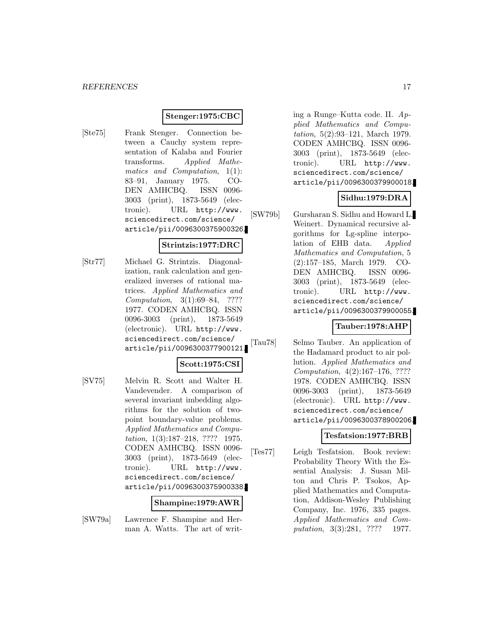### **Stenger:1975:CBC**

[Ste75] Frank Stenger. Connection between a Cauchy system representation of Kalaba and Fourier transforms. Applied Mathematics and Computation, 1(1): 83–91, January 1975. CO-DEN AMHCBQ. ISSN 0096- 3003 (print), 1873-5649 (electronic). URL http://www. sciencedirect.com/science/ article/pii/0096300375900326.

### **Strintzis:1977:DRC**

[Str77] Michael G. Strintzis. Diagonalization, rank calculation and generalized inverses of rational matrices. Applied Mathematics and Computation, 3(1):69–84, ???? 1977. CODEN AMHCBQ. ISSN 0096-3003 (print), 1873-5649 (electronic). URL http://www. sciencedirect.com/science/ article/pii/0096300377900121.

# **Scott:1975:CSI**

[SV75] Melvin R. Scott and Walter H. Vandevender. A comparison of several invariant imbedding algorithms for the solution of twopoint boundary-value problems. Applied Mathematics and Computation, 1(3):187–218, ???? 1975. CODEN AMHCBQ. ISSN 0096- 3003 (print), 1873-5649 (electronic). URL http://www. sciencedirect.com/science/ article/pii/0096300375900338.

#### **Shampine:1979:AWR**

[SW79a] Lawrence F. Shampine and Herman A. Watts. The art of writing a Runge–Kutta code. II. Applied Mathematics and Computation, 5(2):93–121, March 1979. CODEN AMHCBQ. ISSN 0096- 3003 (print), 1873-5649 (electronic). URL http://www. sciencedirect.com/science/ article/pii/0096300379900018.

### **Sidhu:1979:DRA**

[SW79b] Gursharan S. Sidhu and Howard L. Weinert. Dynamical recursive algorithms for Lg-spline interpolation of EHB data. Applied Mathematics and Computation, 5 (2):157–185, March 1979. CO-DEN AMHCBQ. ISSN 0096- 3003 (print), 1873-5649 (electronic). URL http://www. sciencedirect.com/science/ article/pii/0096300379900055.

### **Tauber:1978:AHP**

[Tau78] Selmo Tauber. An application of the Hadamard product to air pollution. Applied Mathematics and Computation, 4(2):167–176, ???? 1978. CODEN AMHCBQ. ISSN 0096-3003 (print), 1873-5649 (electronic). URL http://www. sciencedirect.com/science/ article/pii/0096300378900206.

### **Tesfatsion:1977:BRB**

[Tes77] Leigh Tesfatsion. Book review: Probability Theory With the Essential Analysis: J. Susan Milton and Chris P. Tsokos, Applied Mathematics and Computation, Addison-Wesley Publishing Company, Inc. 1976, 335 pages. Applied Mathematics and Computation, 3(3):281, ???? 1977.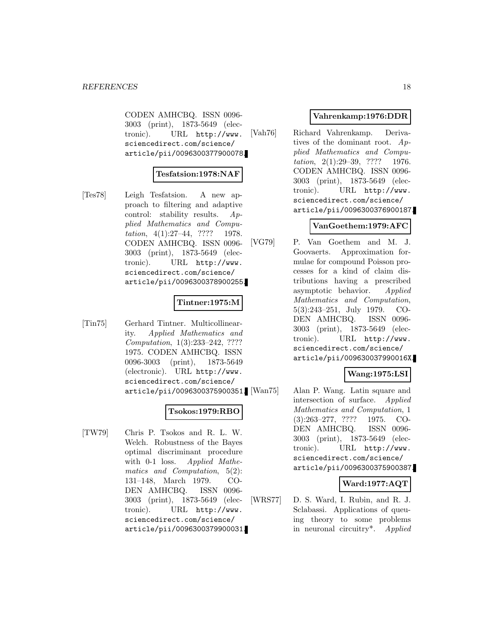CODEN AMHCBQ. ISSN 0096- 3003 (print), 1873-5649 (electronic). URL http://www. sciencedirect.com/science/ article/pii/0096300377900078.

### **Tesfatsion:1978:NAF**

[Tes78] Leigh Tesfatsion. A new approach to filtering and adaptive control: stability results. Applied Mathematics and Computation,  $4(1):27-44$ , ???? 1978. CODEN AMHCBQ. ISSN 0096- 3003 (print), 1873-5649 (electronic). URL http://www. sciencedirect.com/science/ article/pii/0096300378900255.

### **Tintner:1975:M**

[Tin75] Gerhard Tintner. Multicollinearity. Applied Mathematics and Computation, 1(3):233–242, ???? 1975. CODEN AMHCBQ. ISSN 0096-3003 (print), 1873-5649 (electronic). URL http://www. sciencedirect.com/science/ article/pii/0096300375900351.

### **Tsokos:1979:RBO**

[TW79] Chris P. Tsokos and R. L. W. Welch. Robustness of the Bayes optimal discriminant procedure with 0-1 loss. Applied Mathematics and Computation, 5(2): 131–148, March 1979. CO-DEN AMHCBQ. ISSN 0096- 3003 (print), 1873-5649 (electronic). URL http://www. sciencedirect.com/science/ article/pii/0096300379900031.

### **Vahrenkamp:1976:DDR**

[Vah76] Richard Vahrenkamp. Derivatives of the dominant root. Applied Mathematics and Computation, 2(1):29–39, ???? 1976. CODEN AMHCBQ. ISSN 0096- 3003 (print), 1873-5649 (electronic). URL http://www. sciencedirect.com/science/ article/pii/0096300376900187.

### **VanGoethem:1979:AFC**

[VG79] P. Van Goethem and M. J. Goovaerts. Approximation formulae for compound Poisson processes for a kind of claim distributions having a prescribed asymptotic behavior. Applied Mathematics and Computation, 5(3):243–251, July 1979. CO-DEN AMHCBQ. ISSN 0096- 3003 (print), 1873-5649 (electronic). URL http://www. sciencedirect.com/science/ article/pii/009630037990016X.

### **Wang:1975:LSI**

Alan P. Wang. Latin square and intersection of surface. Applied Mathematics and Computation, 1 (3):263–277, ???? 1975. CO-DEN AMHCBQ. ISSN 0096- 3003 (print), 1873-5649 (electronic). URL http://www. sciencedirect.com/science/ article/pii/0096300375900387.

### **Ward:1977:AQT**

[WRS77] D. S. Ward, I. Rubin, and R. J. Sclabassi. Applications of queuing theory to some problems in neuronal circuitry\*. Applied